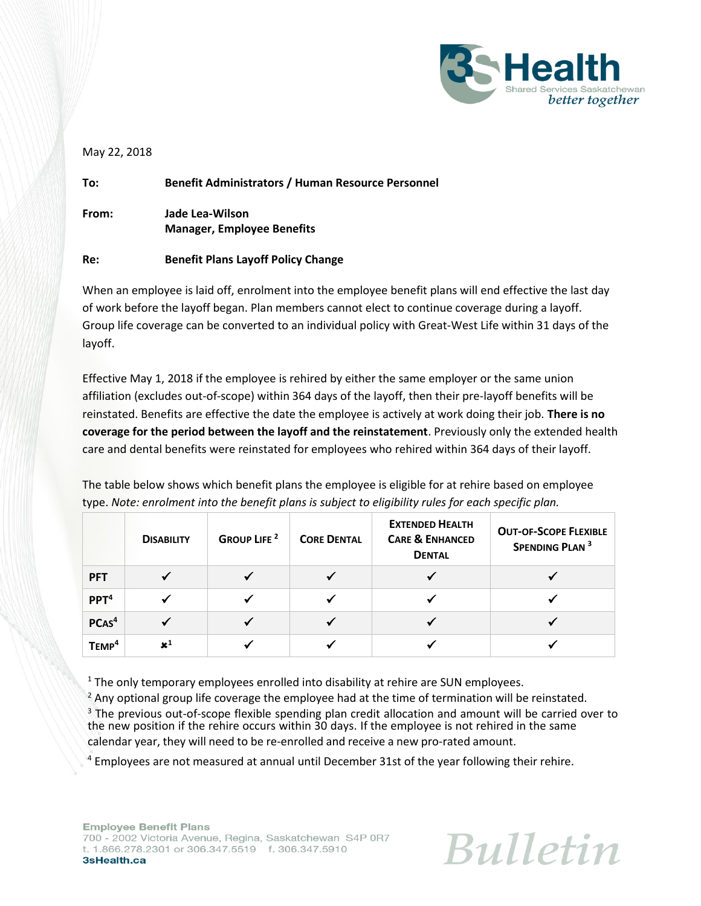

#### May 22, 2018

**To: Benefit Administrators / Human Resource Personnel From: Jade Lea-Wilson Manager, Employee Benefits**

## **Re: Benefit Plans Layoff Policy Change**

When an employee is laid off, enrolment into the employee benefit plans will end effective the last day of work before the layoff began. Plan members cannot elect to continue coverage during a layoff. Group life coverage can be converted to an individual policy with Great-West Life within 31 days of the layoff.

Effective May 1, 2018 if the employee is rehired by either the same employer or the same union affiliation (excludes out-of-scope) within 364 days of the layoff, then their pre-layoff benefits will be reinstated. Benefits are effective the date the employee is actively at work doing their job. **There is no coverage for the period between the layoff and the reinstatement**. Previously only the extended health care and dental benefits were reinstated for employees who rehired within 364 days of their layoff.

The table below shows which benefit plans the employee is eligible for at rehire based on employee type. *Note: enrolment into the benefit plans is subject to eligibility rules for each specific plan.*

|                   | <b>DISABILITY</b> | <b>GROUP LIFE</b> <sup>2</sup> | <b>CORE DENTAL</b> | <b>EXTENDED HEALTH</b><br><b>CARE &amp; ENHANCED</b><br><b>DENTAL</b> | <b>OUT-OF-SCOPE FLEXIBLE</b><br>SPENDING PLAN <sup>3</sup> |
|-------------------|-------------------|--------------------------------|--------------------|-----------------------------------------------------------------------|------------------------------------------------------------|
| <b>PFT</b>        |                   |                                |                    |                                                                       |                                                            |
| PPT <sup>4</sup>  |                   |                                |                    |                                                                       |                                                            |
| PCAS <sup>4</sup> |                   |                                |                    |                                                                       |                                                            |
| TEMP <sup>4</sup> | $\mathbf{x}^1$    |                                |                    |                                                                       |                                                            |

<sup>1</sup> The only temporary employees enrolled into disability at rehire are SUN employees.

 $<sup>2</sup>$  Any optional group life coverage the employee had at the time of termination will be reinstated.</sup>

<sup>3</sup> The previous out-of-scope flexible spending plan credit allocation and amount will be carried over to the new position if the rehire occurs within 30 days. If the employee is not rehired in the same calendar year, they will need to be re-enrolled and receive a new pro-rated amount.

<sup>4</sup> Employees are not measured at annual until December 31st of the year following their rehire.